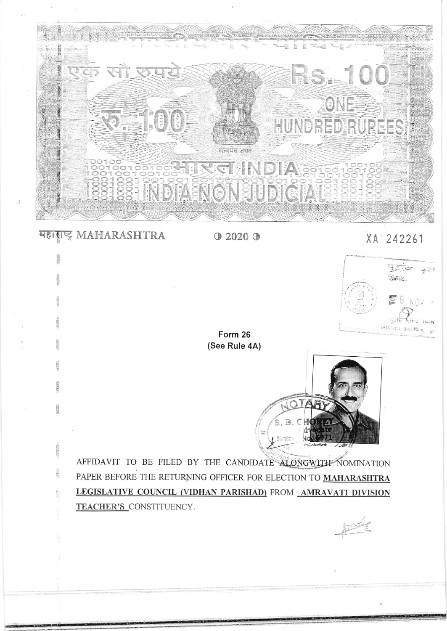

HEINE MAHARASHTRA 0 2020 0

蠶場

35703

## xA 242261



Form 26 (See Rule 4A)



AFFIDAVIT TO BE FILED BY THE CANDIDATE ALONGWITH NOMINATION PAPER BEFORE THE RETURNING OFFICER FOR ELECTION TO MAHARASHTRA LEGISLATIVE COUNCIL (VIDHAN PARISHAD) FROM AMRAVATI DIVISION TEACHER'S CONSTITUENCY.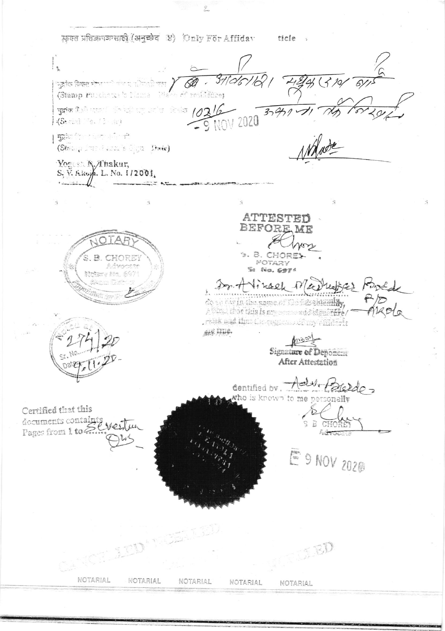फ़क्त प्रतिज्ञापक्रासाठी (अनुच्छेद ४) Only For Affidav ticle,

 $2 -$ 

 $\begin{array}{c} \vdots \\ \vdots \\ \end{array}$  $37/26/6$  $319/$ Ã  $\sigma$  $\mid$ 'सुहांक विकट मेंच्या पार्टी पोटा रही कहा  $\;$ (Stamp Purchase 's Name Place of residence) 1976 The Company of the Company of the Company of the Company of the Company of the Company of the Company of the Company of the Company of the Company of the Company of the Company of the Company of the Company of the Com  $37411$  $\boxed{\text{Spin}(2)}\quad \text{Spin}(2)$ (Strang Fund and solign Date) Yoges: A./Thakur, S. V. Akoja. L. No. 1/2001.  $\dot{\mathcal{L}}$ ATTESTED BEFORE ME Km . B. CHOREY  $\mathbb{R}^-$ CHORE MOTARY Sa No. 6974 New y 24 readices bond 1 Vincel Pl desir in the name of Dofter streamliky. A time that this is an account is is started rank and that the enginess of my efficient ses mue. Signature of Deponem After Attestation continued by Add Bleedo who is known to me personally Certified that this documents containts Wester Pages from 1 to 2 E 9 NOV 2020  $\leq$  BD

NOTARIAL NOTARIAL NOTARIAL NOTARIAL NOTARIAL